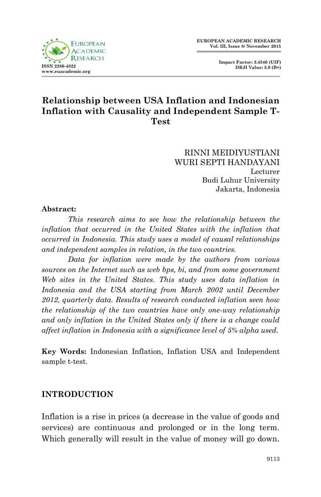**Impact Factor: 3.4546 (UIF) DRJI Value: 5.9 (B+)**



# **Relationship between USA Inflation and Indonesian Inflation with Causality and Independent Sample T-Test**

RINNI MEIDIYUSTIANI WURI SEPTI HANDAYANI Lecturer Budi Luhur University Jakarta, Indonesia

#### **Abstract:**

*This research aims to see how the relationship between the inflation that occurred in the United States with the inflation that occurred in Indonesia. This study uses a model of causal relationships and independent samples in relation, in the two countries.*

*Data for inflation were made by the authors from various sources on the Internet such as web bps, bi, and from some government*  Web sites in the United States. This study uses data inflation in *Indonesia and the USA starting from March 2002 until December 2012, quarterly data. Results of research conducted inflation seen how the relationship of the two countries have only one-way relationship and only inflation in the United States only if there is a change could affect inflation in Indonesia with a significance level of 5% alpha used.*

**Key Words:** Indonesian Inflation, Inflation USA and Independent sample t-test.

## **INTRODUCTION**

Inflation is a rise in prices (a decrease in the value of goods and services) are continuous and prolonged or in the long term. Which generally will result in the value of money will go down.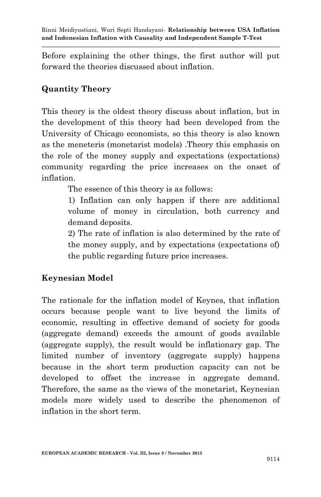Before explaining the other things, the first author will put forward the theories discussed about inflation.

## **Quantity Theory**

This theory is the oldest theory discuss about inflation, but in the development of this theory had been developed from the University of Chicago economists, so this theory is also known as the meneteris (monetarist models) .Theory this emphasis on the role of the money supply and expectations (expectations) community regarding the price increases on the onset of inflation.

The essence of this theory is as follows:

1) Inflation can only happen if there are additional volume of money in circulation, both currency and demand deposits.

2) The rate of inflation is also determined by the rate of the money supply, and by expectations (expectations of) the public regarding future price increases.

# **Keynesian Model**

The rationale for the inflation model of Keynes, that inflation occurs because people want to live beyond the limits of economic, resulting in effective demand of society for goods (aggregate demand) exceeds the amount of goods available (aggregate supply), the result would be inflationary gap. The limited number of inventory (aggregate supply) happens because in the short term production capacity can not be developed to offset the increase in aggregate demand. Therefore, the same as the views of the monetarist, Keynesian models more widely used to describe the phenomenon of inflation in the short term.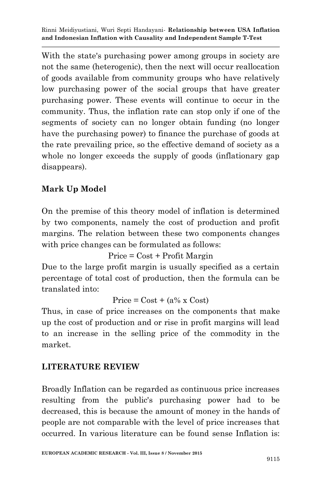With the state's purchasing power among groups in society are not the same (heterogenic), then the next will occur reallocation of goods available from community groups who have relatively low purchasing power of the social groups that have greater purchasing power. These events will continue to occur in the community. Thus, the inflation rate can stop only if one of the segments of society can no longer obtain funding (no longer have the purchasing power) to finance the purchase of goods at the rate prevailing price, so the effective demand of society as a whole no longer exceeds the supply of goods (inflationary gap disappears).

# **Mark Up Model**

On the premise of this theory model of inflation is determined by two components, namely the cost of production and profit margins. The relation between these two components changes with price changes can be formulated as follows:

Price = Cost + Profit Margin

Due to the large profit margin is usually specified as a certain percentage of total cost of production, then the formula can be translated into:

Price =  $Cost + (a\% \times Cost)$ 

Thus, in case of price increases on the components that make up the cost of production and or rise in profit margins will lead to an increase in the selling price of the commodity in the market.

## **LITERATURE REVIEW**

Broadly Inflation can be regarded as continuous price increases resulting from the public's purchasing power had to be decreased, this is because the amount of money in the hands of people are not comparable with the level of price increases that occurred. In various literature can be found sense Inflation is: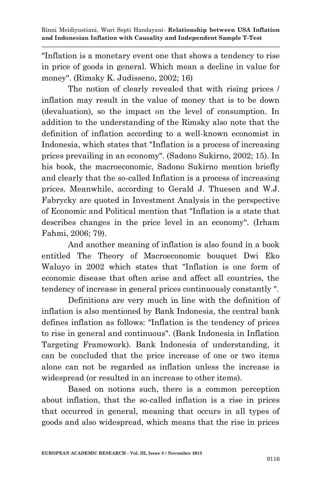"Inflation is a monetary event one that shows a tendency to rise in price of goods in general. Which mean a decline in value for money". (Rimsky K. Judisseno, 2002; 16)

The notion of clearly revealed that with rising prices / inflation may result in the value of money that is to be down (devaluation), so the impact on the level of consumption. In addition to the understanding of the Rimsky also note that the definition of inflation according to a well-known economist in Indonesia, which states that "Inflation is a process of increasing prices prevailing in an economy". (Sadono Sukirno, 2002; 15). In his book, the macroeconomic, Sadono Sukirno mention briefly and clearly that the so-called Inflation is a process of increasing prices. Meanwhile, according to Gerald J. Thuesen and W.J. Fabrycky are quoted in Investment Analysis in the perspective of Economic and Political mention that "Inflation is a state that describes changes in the price level in an economy". (Irham Fahmi, 2006; 79).

And another meaning of inflation is also found in a book entitled The Theory of Macroeconomic bouquet Dwi Eko Waluyo in 2002 which states that "Inflation is one form of economic disease that often arise and affect all countries, the tendency of increase in general prices continuously constantly ".

Definitions are very much in line with the definition of inflation is also mentioned by Bank Indonesia, the central bank defines inflation as follows: "Inflation is the tendency of prices to rise in general and continuous". (Bank Indonesia in Inflation Targeting Framework). Bank Indonesia of understanding, it can be concluded that the price increase of one or two items alone can not be regarded as inflation unless the increase is widespread (or resulted in an increase to other items).

Based on notions such, there is a common perception about inflation, that the so-called inflation is a rise in prices that occurred in general, meaning that occurs in all types of goods and also widespread, which means that the rise in prices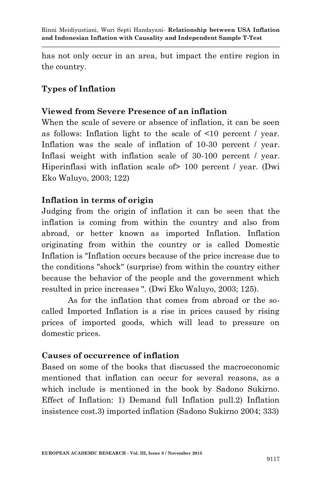has not only occur in an area, but impact the entire region in the country.

## **Types of Inflation**

## **Viewed from Severe Presence of an inflation**

When the scale of severe or absence of inflation, it can be seen as follows: Inflation light to the scale of <10 percent / year. Inflation was the scale of inflation of 10-30 percent / year. Inflasi weight with inflation scale of 30-100 percent / year. Hiperinflasi with inflation scale of  $> 100$  percent / year. (Dwi Eko Waluyo, 2003; 122)

## **Inflation in terms of origin**

Judging from the origin of inflation it can be seen that the inflation is coming from within the country and also from abroad, or better known as imported Inflation. Inflation originating from within the country or is called Domestic Inflation is "Inflation occurs because of the price increase due to the conditions "shock" (surprise) from within the country either because the behavior of the people and the government which resulted in price increases ". (Dwi Eko Waluyo, 2003; 125).

As for the inflation that comes from abroad or the socalled Imported Inflation is a rise in prices caused by rising prices of imported goods, which will lead to pressure on domestic prices.

## **Causes of occurrence of inflation**

Based on some of the books that discussed the macroeconomic mentioned that inflation can occur for several reasons, as a which include is mentioned in the book by Sadono Sukirno. Effect of Inflation: 1) Demand full Inflation pull.2) Inflation insistence cost.3) imported inflation (Sadono Sukirno 2004; 333)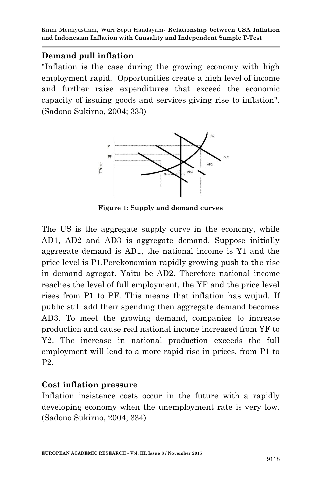### **Demand pull inflation**

"Inflation is the case during the growing economy with high employment rapid. Opportunities create a high level of income and further raise expenditures that exceed the economic capacity of issuing goods and services giving rise to inflation". (Sadono Sukirno, 2004; 333)



**Figure 1: Supply and demand curves**

The US is the aggregate supply curve in the economy, while AD1, AD2 and AD3 is aggregate demand. Suppose initially aggregate demand is AD1, the national income is Y1 and the price level is P1.Perekonomian rapidly growing push to the rise in demand agregat. Yaitu be AD2. Therefore national income reaches the level of full employment, the YF and the price level rises from P1 to PF. This means that inflation has wujud. If public still add their spending then aggregate demand becomes AD3. To meet the growing demand, companies to increase production and cause real national income increased from YF to Y2. The increase in national production exceeds the full employment will lead to a more rapid rise in prices, from P1 to P2.

### **Cost inflation pressure**

Inflation insistence costs occur in the future with a rapidly developing economy when the unemployment rate is very low. (Sadono Sukirno, 2004; 334)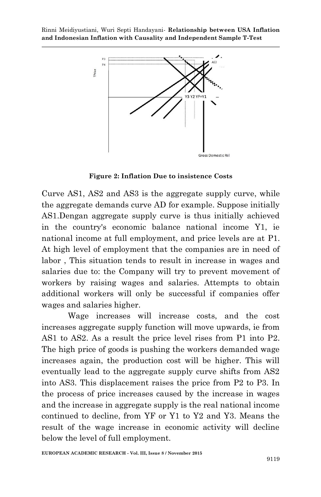

**Figure 2: Inflation Due to insistence Costs**

Curve AS1, AS2 and AS3 is the aggregate supply curve, while the aggregate demands curve AD for example. Suppose initially AS1.Dengan aggregate supply curve is thus initially achieved in the country's economic balance national income Y1, ie national income at full employment, and price levels are at P1. At high level of employment that the companies are in need of labor , This situation tends to result in increase in wages and salaries due to: the Company will try to prevent movement of workers by raising wages and salaries. Attempts to obtain additional workers will only be successful if companies offer wages and salaries higher.

Wage increases will increase costs, and the cost increases aggregate supply function will move upwards, ie from AS1 to AS2. As a result the price level rises from P1 into P2. The high price of goods is pushing the workers demanded wage increases again, the production cost will be higher. This will eventually lead to the aggregate supply curve shifts from AS2 into AS3. This displacement raises the price from P2 to P3. In the process of price increases caused by the increase in wages and the increase in aggregate supply is the real national income continued to decline, from YF or Y1 to Y2 and Y3. Means the result of the wage increase in economic activity will decline below the level of full employment.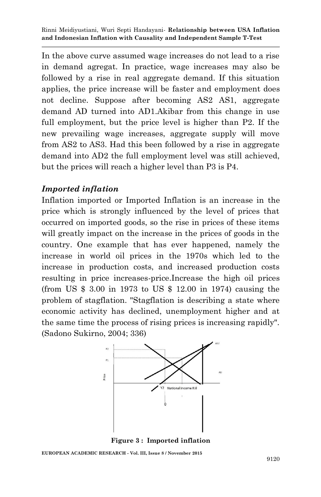In the above curve assumed wage increases do not lead to a rise in demand agregat. In practice, wage increases may also be followed by a rise in real aggregate demand. If this situation applies, the price increase will be faster and employment does not decline. Suppose after becoming AS2 AS1, aggregate demand AD turned into AD1.Akibar from this change in use full employment, but the price level is higher than P2. If the new prevailing wage increases, aggregate supply will move from AS2 to AS3. Had this been followed by a rise in aggregate demand into AD2 the full employment level was still achieved, but the prices will reach a higher level than P3 is P4.

### *Imported inflation*

Inflation imported or Imported Inflation is an increase in the price which is strongly influenced by the level of prices that occurred on imported goods, so the rise in prices of these items will greatly impact on the increase in the prices of goods in the country. One example that has ever happened, namely the increase in world oil prices in the 1970s which led to the increase in production costs, and increased production costs resulting in price increases-price.Increase the high oil prices (from US \$ 3.00 in 1973 to US \$ 12.00 in 1974) causing the problem of stagflation. "Stagflation is describing a state where economic activity has declined, unemployment higher and at the same time the process of rising prices is increasing rapidly". (Sadono Sukirno, 2004; 336)



**Figure 3 : Imported inflation**

**EUROPEAN ACADEMIC RESEARCH - Vol. III, Issue 8 / November 2015**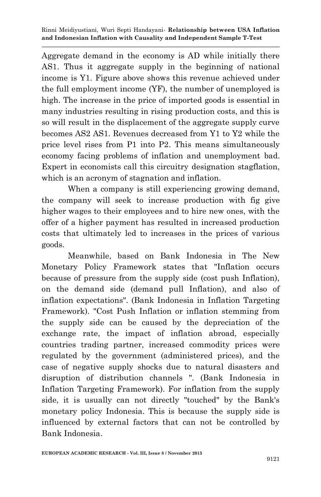Aggregate demand in the economy is AD while initially there AS1. Thus it aggregate supply in the beginning of national income is Y1. Figure above shows this revenue achieved under the full employment income (YF), the number of unemployed is high. The increase in the price of imported goods is essential in many industries resulting in rising production costs, and this is so will result in the displacement of the aggregate supply curve becomes AS2 AS1. Revenues decreased from Y1 to Y2 while the price level rises from P1 into P2. This means simultaneously economy facing problems of inflation and unemployment bad. Expert in economists call this circuitry designation stagflation, which is an acronym of stagnation and inflation.

When a company is still experiencing growing demand, the company will seek to increase production with fig give higher wages to their employees and to hire new ones, with the offer of a higher payment has resulted in increased production costs that ultimately led to increases in the prices of various goods.

Meanwhile, based on Bank Indonesia in The New Monetary Policy Framework states that "Inflation occurs because of pressure from the supply side (cost push Inflation), on the demand side (demand pull Inflation), and also of inflation expectations". (Bank Indonesia in Inflation Targeting Framework). "Cost Push Inflation or inflation stemming from the supply side can be caused by the depreciation of the exchange rate, the impact of inflation abroad, especially countries trading partner, increased commodity prices were regulated by the government (administered prices), and the case of negative supply shocks due to natural disasters and disruption of distribution channels ". (Bank Indonesia in Inflation Targeting Framework). For inflation from the supply side, it is usually can not directly "touched" by the Bank's monetary policy Indonesia. This is because the supply side is influenced by external factors that can not be controlled by Bank Indonesia.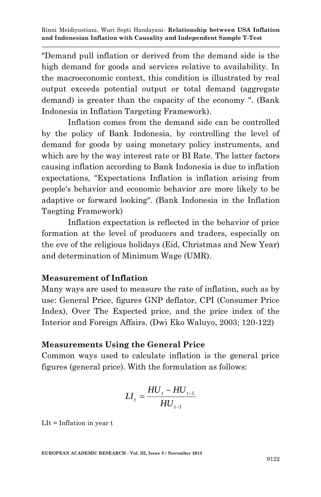"Demand pull inflation or derived from the demand side is the high demand for goods and services relative to availability. In the macroeconomic context, this condition is illustrated by real output exceeds potential output or total demand (aggregate demand) is greater than the capacity of the economy ". (Bank Indonesia in Inflation Targeting Framework).

Inflation comes from the demand side can be controlled by the policy of Bank Indonesia, by controlling the level of demand for goods by using monetary policy instruments, and which are by the way interest rate or BI Rate. The latter factors causing inflation according to Bank Indonesia is due to inflation expectations, "Expectations Inflation is inflation arising from people's behavior and economic behavior are more likely to be adaptive or forward looking". (Bank Indonesia in the Inflation Taegting Framework)

Inflation expectation is reflected in the behavior of price formation at the level of producers and traders, especially on the eve of the religious holidays (Eid, Christmas and New Year) and determination of Minimum Wage (UMR).

## **Measurement of Inflation**

Many ways are used to measure the rate of inflation, such as by use: General Price, figures GNP deflator, CPI (Consumer Price Index), Over The Expected price, and the price index of the Interior and Foreign Affairs. (Dwi Eko Waluyo, 2003; 120-122)

## **Measurements Using the General Price**

Common ways used to calculate inflation is the general price figures (general price). With the formulation as follows:

$$
LI_{t} = \frac{HU_{t} - HU_{t-1}}{HU_{t-1}}
$$

 $LIt = Inflation in year t$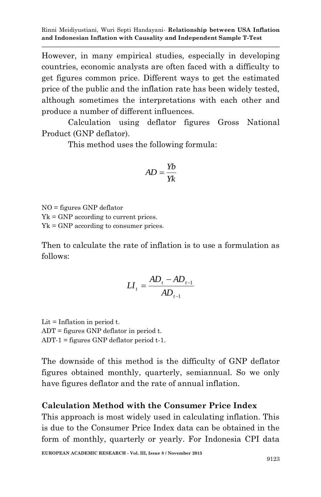However, in many empirical studies, especially in developing countries, economic analysts are often faced with a difficulty to get figures common price. Different ways to get the estimated price of the public and the inflation rate has been widely tested, although sometimes the interpretations with each other and produce a number of different influences.

Calculation using deflator figures Gross National Product (GNP deflator).

This method uses the following formula:

$$
AD = \frac{Yb}{Yk}
$$

NO = figures GNP deflator  $Yk = GNP$  according to current prices. Yk = GNP according to consumer prices.

Then to calculate the rate of inflation is to use a formulation as follows:

$$
LI_{t} = \frac{AD_{t} - AD_{t-1}}{AD_{t-1}}
$$

Lit  $=$  Inflation in period t. ADT = figures GNP deflator in period t. ADT-1 = figures GNP deflator period t-1.

The downside of this method is the difficulty of GNP deflator figures obtained monthly, quarterly, semiannual. So we only have figures deflator and the rate of annual inflation.

### **Calculation Method with the Consumer Price Index**

This approach is most widely used in calculating inflation. This is due to the Consumer Price Index data can be obtained in the form of monthly, quarterly or yearly. For Indonesia CPI data

**EUROPEAN ACADEMIC RESEARCH - Vol. III, Issue 8 / November 2015**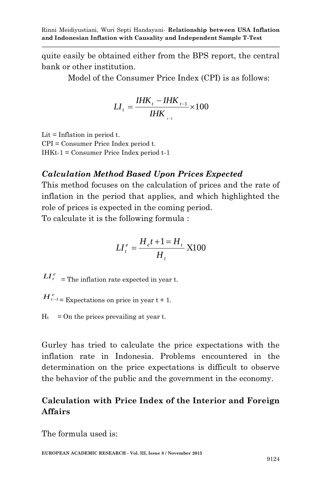quite easily be obtained either from the BPS report, the central bank or other institution.

Model of the Consumer Price Index (CPI) is as follows:

$$
LI_{t} = \frac{IHK_{t} - IHK_{t-1}}{IHK_{t-1}} \times 100
$$

Lit  $=$  Inflation in period t. CPI = Consumer Price Index period t. IHKt-1 = Consumer Price Index period t-1

## *Calculation Method Based Upon Prices Expected*

This method focuses on the calculation of prices and the rate of inflation in the period that applies, and which highlighted the role of prices is expected in the coming period. To calculate it is the following formula :

$$
LI_t^e = \frac{H_e t + 1 = H_t}{H_t} \, \text{X100}
$$

 $LI_t^e$  = The inflation rate expected in year t.

 $H_{t-1}^e$  Expectations on price in year t + 1.

 $H_t$  = On the prices prevailing at year t.

Gurley has tried to calculate the price expectations with the inflation rate in Indonesia. Problems encountered in the determination on the price expectations is difficult to observe the behavior of the public and the government in the economy.

# **Calculation with Price Index of the Interior and Foreign Affairs**

The formula used is: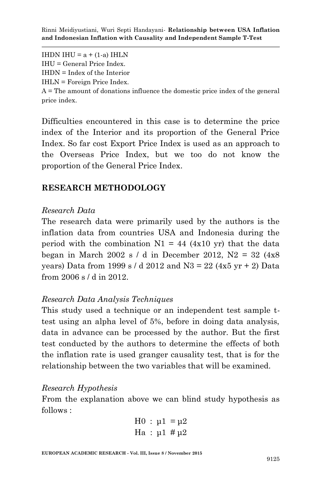IHDN IHU =  $a + (1-a)$  IHLN IHU = General Price Index. IHDN = Index of the Interior IHLN = Foreign Price Index. A = The amount of donations influence the domestic price index of the general price index.

Difficulties encountered in this case is to determine the price index of the Interior and its proportion of the General Price Index. So far cost Export Price Index is used as an approach to the Overseas Price Index, but we too do not know the proportion of the General Price Index.

### **RESEARCH METHODOLOGY**

#### *Research Data*

The research data were primarily used by the authors is the inflation data from countries USA and Indonesia during the period with the combination  $N1 = 44$  (4x10 yr) that the data began in March 2002 s / d in December 2012,  $N2 = 32$  (4x8) years) Data from 1999 s / d 2012 and N3 = 22 (4x5 yr  $+$  2) Data from 2006 s / d in 2012.

### *Research Data Analysis Techniques*

This study used a technique or an independent test sample ttest using an alpha level of 5%, before in doing data analysis, data in advance can be processed by the author. But the first test conducted by the authors to determine the effects of both the inflation rate is used granger causality test, that is for the relationship between the two variables that will be examined.

#### *Research Hypothesis*

From the explanation above we can blind study hypothesis as follows :

$$
H0 : \mu1 = \mu2
$$
  
Ha : 
$$
\mu1 \# \mu2
$$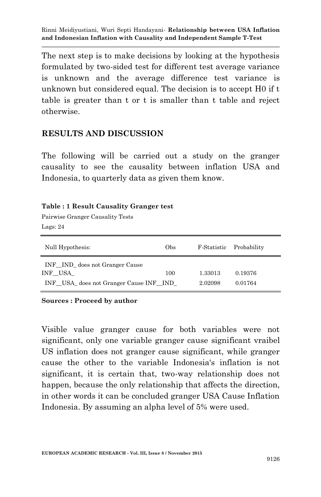The next step is to make decisions by looking at the hypothesis formulated by two-sided test for different test average variance is unknown and the average difference test variance is unknown but considered equal. The decision is to accept H0 if t table is greater than t or t is smaller than t table and reject otherwise.

### **RESULTS AND DISCUSSION**

The following will be carried out a study on the granger causality to see the causality between inflation USA and Indonesia, to quarterly data as given them know.

#### **Table : 1 Result Causality Granger test**

Pairwise Granger Causality Tests Lags: 24

| Null Hypothesis:                                                                    | Obs |                    | F-Statistic Probability |
|-------------------------------------------------------------------------------------|-----|--------------------|-------------------------|
| INF IND does not Granger Cause<br>INF USA<br>INF USA does not Granger Cause INF IND | 100 | 1.33013<br>2.02098 | 0.19376<br>0.01764      |

#### **Sources : Proceed by author**

Visible value granger cause for both variables were not significant, only one variable granger cause significant vraibel US inflation does not granger cause significant, while granger cause the other to the variable Indonesia's inflation is not significant, it is certain that, two-way relationship does not happen, because the only relationship that affects the direction, in other words it can be concluded granger USA Cause Inflation Indonesia. By assuming an alpha level of 5% were used.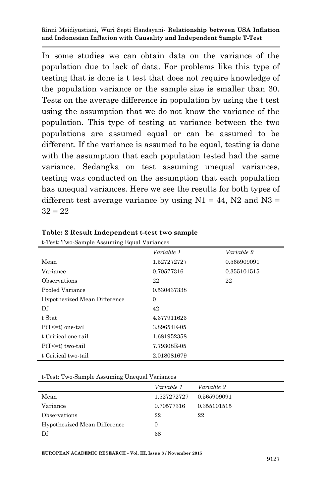In some studies we can obtain data on the variance of the population due to lack of data. For problems like this type of testing that is done is t test that does not require knowledge of the population variance or the sample size is smaller than 30. Tests on the average difference in population by using the t test using the assumption that we do not know the variance of the population. This type of testing at variance between the two populations are assumed equal or can be assumed to be different. If the variance is assumed to be equal, testing is done with the assumption that each population tested had the same variance. Sedangka on test assuming unequal variances, testing was conducted on the assumption that each population has unequal variances. Here we see the results for both types of different test average variance by using  $N1 = 44$ ,  $N2$  and  $N3 =$  $32 = 22$ 

|                              | Variable 1     | Variable 2  |
|------------------------------|----------------|-------------|
| Mean                         | 1.527272727    | 0.565909091 |
| Variance                     | 0.70577316     | 0.355101515 |
| Observations                 | 22             | 22          |
| Pooled Variance              | 0.530437338    |             |
| Hypothesized Mean Difference | $\overline{0}$ |             |
| Df                           | 42             |             |
| t Stat                       | 4.377911623    |             |
| $P(T \le t)$ one-tail        | 3.89654E-05    |             |
| t Critical one-tail          | 1.681952358    |             |
| $P(T \le t)$ two-tail        | 7.79308E-05    |             |
| t Critical two-tail          | 2.018081679    |             |

|  |  | Table: 2 Result Independent t-test two sample |  |  |
|--|--|-----------------------------------------------|--|--|
|--|--|-----------------------------------------------|--|--|

t-Test: Two-Sample Assuming Equal Variances

t-Test: Two-Sample Assuming Unequal Variances

|                              | Variable 1  | Variable 2  |
|------------------------------|-------------|-------------|
| Mean                         | 1.527272727 | 0.565909091 |
| Variance                     | 0.70577316  | 0.355101515 |
| Observations                 | 22          | 22          |
| Hypothesized Mean Difference | 0           |             |
| Df                           | 38          |             |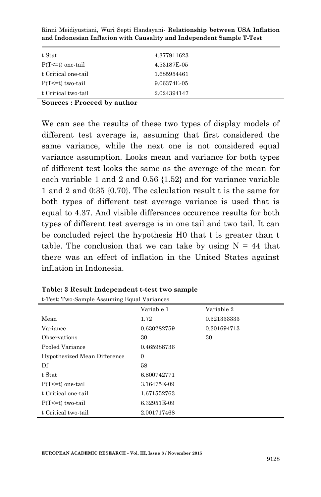| t Stat                | 4.377911623 |  |
|-----------------------|-------------|--|
| $P(T \le t)$ one-tail | 4.53187E-05 |  |
| t Critical one-tail   | 1.685954461 |  |
| $P(T \le t)$ two-tail | 9.06374E-05 |  |
| t Critical two-tail   | 2.024394147 |  |

**Sources : Proceed by author**

We can see the results of these two types of display models of different test average is, assuming that first considered the same variance, while the next one is not considered equal variance assumption. Looks mean and variance for both types of different test looks the same as the average of the mean for each variable 1 and 2 and 0.56 {1.52} and for variance variable 1 and 2 and 0:35 {0.70}. The calculation result t is the same for both types of different test average variance is used that is equal to 4.37. And visible differences occurence results for both types of different test average is in one tail and two tail. It can be concluded reject the hypothesis H0 that t is greater than t table. The conclusion that we can take by using  $N = 44$  that there was an effect of inflation in the United States against inflation in Indonesia.

|                              | Variable 1  | Variable 2  |
|------------------------------|-------------|-------------|
| Mean                         | 1.72        | 0.521333333 |
| Variance                     | 0.630282759 | 0.301694713 |
| Observations                 | 30          | 30          |
| Pooled Variance              | 0.465988736 |             |
| Hypothesized Mean Difference | $\Omega$    |             |
| Df                           | 58          |             |
| t Stat                       | 6.800742771 |             |
| $P(T \le t)$ one-tail        | 3.16475E-09 |             |
| t Critical one-tail          | 1.671552763 |             |
| $P(T \le t)$ two-tail        | 6.32951E-09 |             |
| t Critical two-tail          | 2.001717468 |             |

|  |  | Table: 3 Result Independent t-test two sample |  |  |
|--|--|-----------------------------------------------|--|--|
|--|--|-----------------------------------------------|--|--|

t-Test: Two-Sample Assuming Equal Variances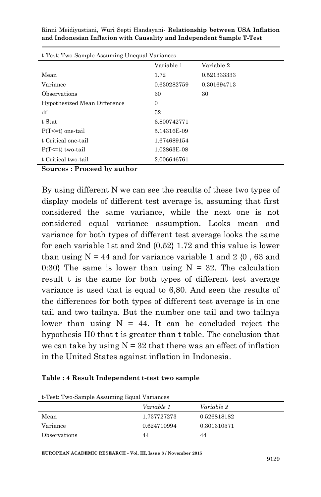| t-Test: Two-Sample Assuming Unequal Variances |             |             |  |
|-----------------------------------------------|-------------|-------------|--|
|                                               | Variable 1  | Variable 2  |  |
| Mean                                          | 1.72        | 0.521333333 |  |
| Variance                                      | 0.630282759 | 0.301694713 |  |
| Observations                                  | 30          | 30          |  |
| Hypothesized Mean Difference                  | $\Omega$    |             |  |
| df                                            | 52          |             |  |
| t Stat                                        | 6.800742771 |             |  |
| $P(T \le t)$ one-tail                         | 5.14316E-09 |             |  |
| t Critical one-tail                           | 1.674689154 |             |  |
| $P(T \le t)$ two-tail                         | 1.02863E-08 |             |  |
| t Critical two-tail                           | 2.006646761 |             |  |

**Sources : Proceed by author**

By using different N we can see the results of these two types of display models of different test average is, assuming that first considered the same variance, while the next one is not considered equal variance assumption. Looks mean and variance for both types of different test average looks the same for each variable 1st and 2nd {0.52} 1.72 and this value is lower than using  $N = 44$  and for variance variable 1 and 2  $(0, 63$  and 0:30} The same is lower than using  $N = 32$ . The calculation result t is the same for both types of different test average variance is used that is equal to 6,80. And seen the results of the differences for both types of different test average is in one tail and two tailnya. But the number one tail and two tailnya lower than using  $N = 44$ . It can be concluded reject the hypothesis H0 that t is greater than t table. The conclusion that we can take by using  $N = 32$  that there was an effect of inflation in the United States against inflation in Indonesia.

#### **Table : 4 Result Independent t-test two sample**

t-Test: Two-Sample Assuming Equal Variances

|              | .           |             |
|--------------|-------------|-------------|
|              | Variable 1  | Variable 2  |
| Mean         | 1.737727273 | 0.526818182 |
| Variance     | 0.624710994 | 0.301310571 |
| Observations | 44          | 44          |

**EUROPEAN ACADEMIC RESEARCH - Vol. III, Issue 8 / November 2015**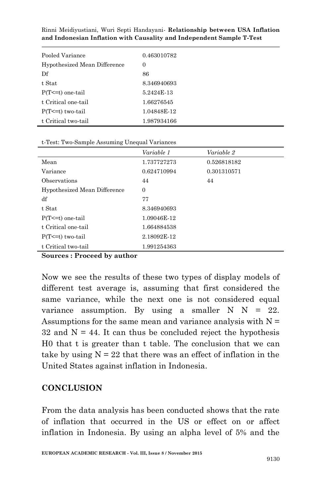| Pooled Variance              | 0.463010782 |
|------------------------------|-------------|
| Hypothesized Mean Difference | 0           |
| Df                           | 86          |
| t Stat                       | 8.346940693 |
| $P(T \le t)$ one-tail        | 5.2424E-13  |
| t Critical one-tail          | 1.66276545  |
| $P(T \le t)$ two-tail        | 1.04848E-12 |
| t Critical two-tail          | 1.987934166 |

t-Test: Two-Sample Assuming Unequal Variances

|                              | Variable 1     | Variable 2  |
|------------------------------|----------------|-------------|
| Mean                         | 1.737727273    | 0.526818182 |
| Variance                     | 0.624710994    | 0.301310571 |
| Observations                 | 44             | 44          |
| Hypothesized Mean Difference | $\overline{0}$ |             |
| df                           | 77             |             |
| t Stat                       | 8.346940693    |             |
| $P(T \le t)$ one-tail        | 1.09046E-12    |             |
| t Critical one-tail          | 1.664884538    |             |
| $P(T \le t)$ two-tail        | 2.18092E-12    |             |
| t Critical two-tail          | 1.991254363    |             |

**Sources : Proceed by author**

Now we see the results of these two types of display models of different test average is, assuming that first considered the same variance, while the next one is not considered equal variance assumption. By using a smaller  $N$   $N = 22$ . Assumptions for the same mean and variance analysis with  $N =$  $32$  and  $N = 44$ . It can thus be concluded reject the hypothesis H0 that t is greater than t table. The conclusion that we can take by using  $N = 22$  that there was an effect of inflation in the United States against inflation in Indonesia.

### **CONCLUSION**

From the data analysis has been conducted shows that the rate of inflation that occurred in the US or effect on or affect inflation in Indonesia. By using an alpha level of 5% and the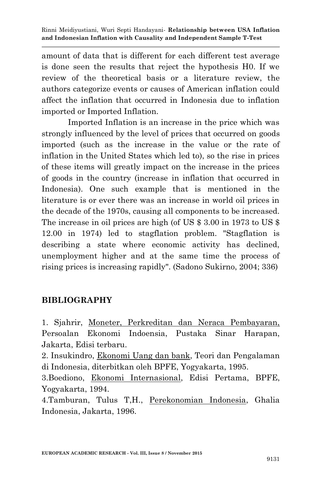amount of data that is different for each different test average is done seen the results that reject the hypothesis H0. If we review of the theoretical basis or a literature review, the authors categorize events or causes of American inflation could affect the inflation that occurred in Indonesia due to inflation imported or Imported Inflation.

Imported Inflation is an increase in the price which was strongly influenced by the level of prices that occurred on goods imported (such as the increase in the value or the rate of inflation in the United States which led to), so the rise in prices of these items will greatly impact on the increase in the prices of goods in the country (increase in inflation that occurred in Indonesia). One such example that is mentioned in the literature is or ever there was an increase in world oil prices in the decade of the 1970s, causing all components to be increased. The increase in oil prices are high (of US \$ 3.00 in 1973 to US \$ 12.00 in 1974) led to stagflation problem. "Stagflation is describing a state where economic activity has declined, unemployment higher and at the same time the process of rising prices is increasing rapidly". (Sadono Sukirno, 2004; 336)

## **BIBLIOGRAPHY**

1. Sjahrir, Moneter, Perkreditan dan Neraca Pembayaran, Persoalan Ekonomi Indoensia, Pustaka Sinar Harapan, Jakarta, Edisi terbaru.

2. Insukindro, Ekonomi Uang dan bank, Teori dan Pengalaman di Indonesia, diterbitkan oleh BPFE, Yogyakarta, 1995.

3.Boediono, Ekonomi Internasional, Edisi Pertama, BPFE, Yogyakarta, 1994.

4.Tamburan, Tulus T,H., Perekonomian Indonesia, Ghalia Indonesia, Jakarta, 1996.